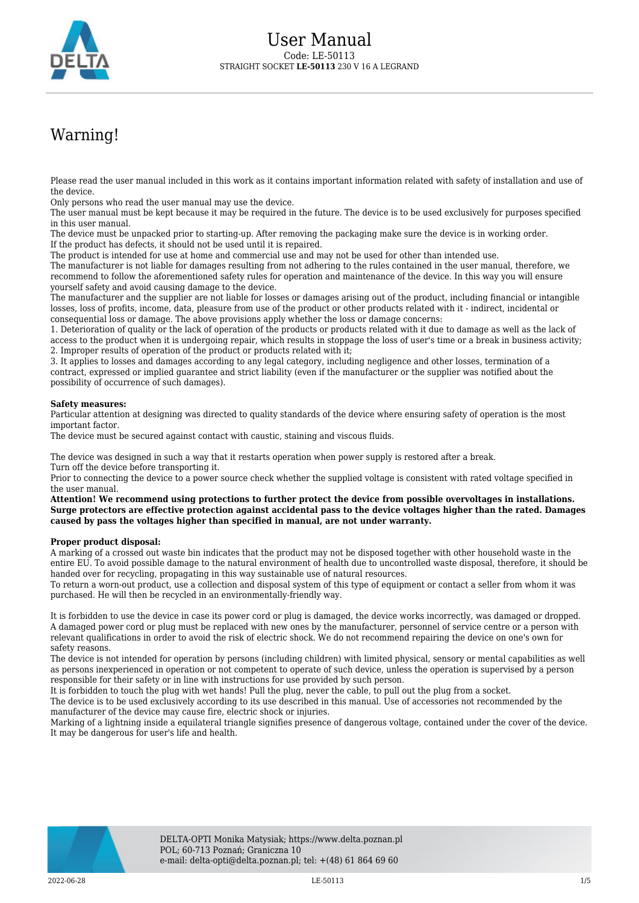

## Warning!

Please read the user manual included in this work as it contains important information related with safety of installation and use of the device.

Only persons who read the user manual may use the device.

The user manual must be kept because it may be required in the future. The device is to be used exclusively for purposes specified in this user manual.

The device must be unpacked prior to starting-up. After removing the packaging make sure the device is in working order. If the product has defects, it should not be used until it is repaired.

The product is intended for use at home and commercial use and may not be used for other than intended use.

The manufacturer is not liable for damages resulting from not adhering to the rules contained in the user manual, therefore, we recommend to follow the aforementioned safety rules for operation and maintenance of the device. In this way you will ensure yourself safety and avoid causing damage to the device.

The manufacturer and the supplier are not liable for losses or damages arising out of the product, including financial or intangible losses, loss of profits, income, data, pleasure from use of the product or other products related with it - indirect, incidental or consequential loss or damage. The above provisions apply whether the loss or damage concerns:

1. Deterioration of quality or the lack of operation of the products or products related with it due to damage as well as the lack of access to the product when it is undergoing repair, which results in stoppage the loss of user's time or a break in business activity; 2. Improper results of operation of the product or products related with it;

3. It applies to losses and damages according to any legal category, including negligence and other losses, termination of a contract, expressed or implied guarantee and strict liability (even if the manufacturer or the supplier was notified about the possibility of occurrence of such damages).

## **Safety measures:**

Particular attention at designing was directed to quality standards of the device where ensuring safety of operation is the most important factor.

The device must be secured against contact with caustic, staining and viscous fluids.

The device was designed in such a way that it restarts operation when power supply is restored after a break. Turn off the device before transporting it.

Prior to connecting the device to a power source check whether the supplied voltage is consistent with rated voltage specified in the user manual.

**Attention! We recommend using protections to further protect the device from possible overvoltages in installations. Surge protectors are effective protection against accidental pass to the device voltages higher than the rated. Damages caused by pass the voltages higher than specified in manual, are not under warranty.**

## **Proper product disposal:**

A marking of a crossed out waste bin indicates that the product may not be disposed together with other household waste in the entire EU. To avoid possible damage to the natural environment of health due to uncontrolled waste disposal, therefore, it should be handed over for recycling, propagating in this way sustainable use of natural resources.

To return a worn-out product, use a collection and disposal system of this type of equipment or contact a seller from whom it was purchased. He will then be recycled in an environmentally-friendly way.

It is forbidden to use the device in case its power cord or plug is damaged, the device works incorrectly, was damaged or dropped. A damaged power cord or plug must be replaced with new ones by the manufacturer, personnel of service centre or a person with relevant qualifications in order to avoid the risk of electric shock. We do not recommend repairing the device on one's own for safety reasons.

The device is not intended for operation by persons (including children) with limited physical, sensory or mental capabilities as well as persons inexperienced in operation or not competent to operate of such device, unless the operation is supervised by a person responsible for their safety or in line with instructions for use provided by such person.

It is forbidden to touch the plug with wet hands! Pull the plug, never the cable, to pull out the plug from a socket.

The device is to be used exclusively according to its use described in this manual. Use of accessories not recommended by the manufacturer of the device may cause fire, electric shock or injuries.

Marking of a lightning inside a equilateral triangle signifies presence of dangerous voltage, contained under the cover of the device. It may be dangerous for user's life and health.

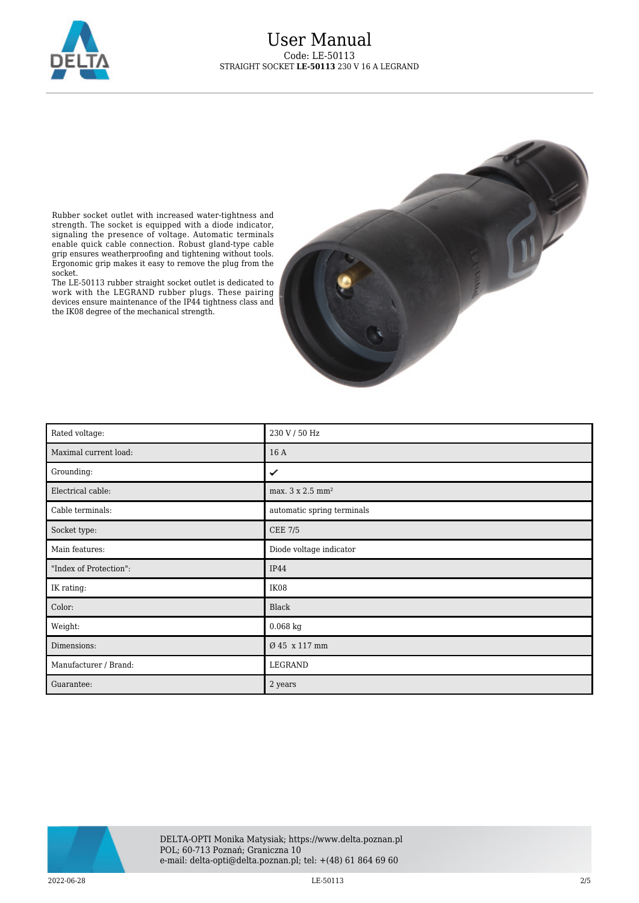



Rubber socket outlet with increased water-tightness and strength. The socket is equipped with a diode indicator, signaling the presence of voltage. Automatic terminals enable quick cable connection. Robust gland-type cable grip ensures weatherproofing and tightening without tools. Ergonomic grip makes it easy to remove the plug from the socket.

The LE-50113 rubber straight socket outlet is dedicated to work with the LEGRAND rubber plugs. These pairing devices ensure maintenance of the IP44 tightness class and the IK08 degree of the mechanical strength.

| Rated voltage:         | 230 V / 50 Hz                |
|------------------------|------------------------------|
| Maximal current load:  | 16 A                         |
| Grounding:             | ✓                            |
| Electrical cable:      | max. 3 x 2.5 mm <sup>2</sup> |
| Cable terminals:       | automatic spring terminals   |
| Socket type:           | <b>CEE 7/5</b>               |
| Main features:         | Diode voltage indicator      |
| "Index of Protection": | <b>IP44</b>                  |
| IK rating:             | IK08                         |
| Color:                 | Black                        |
| Weight:                | $0.068$ kg                   |
| Dimensions:            | Ø 45 x 117 mm                |
| Manufacturer / Brand:  | LEGRAND                      |
| Guarantee:             | 2 years                      |

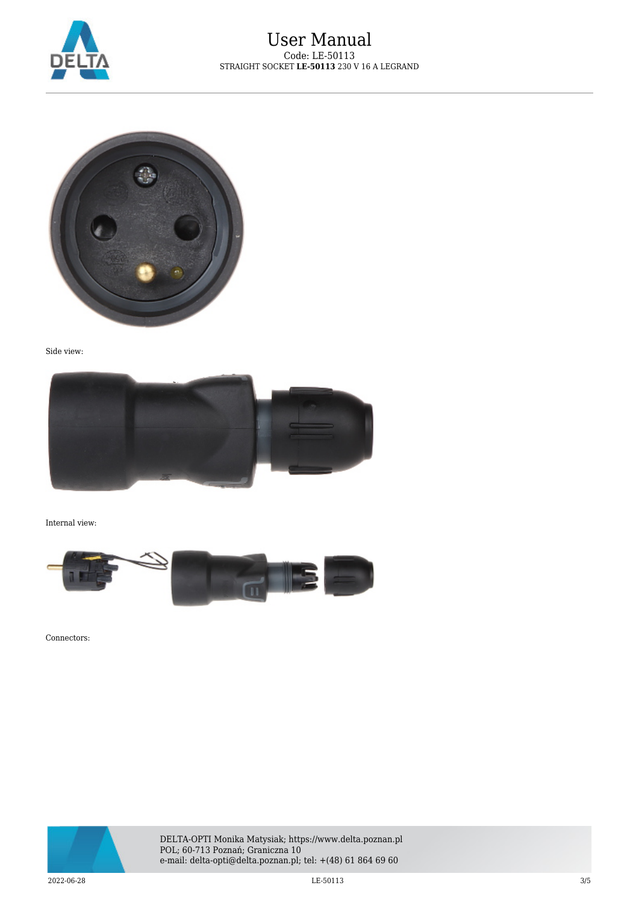



Side view:



Internal view:



Connectors:



DELTA-OPTI Monika Matysiak; https://www.delta.poznan.pl POL; 60-713 Poznań; Graniczna 10 e-mail: delta-opti@delta.poznan.pl; tel: +(48) 61 864 69 60

 $\rm LE$ -50113  $\rm LE$ -50113  $\rm LE$ -50113  $\rm LE$ -50113  $\rm LE$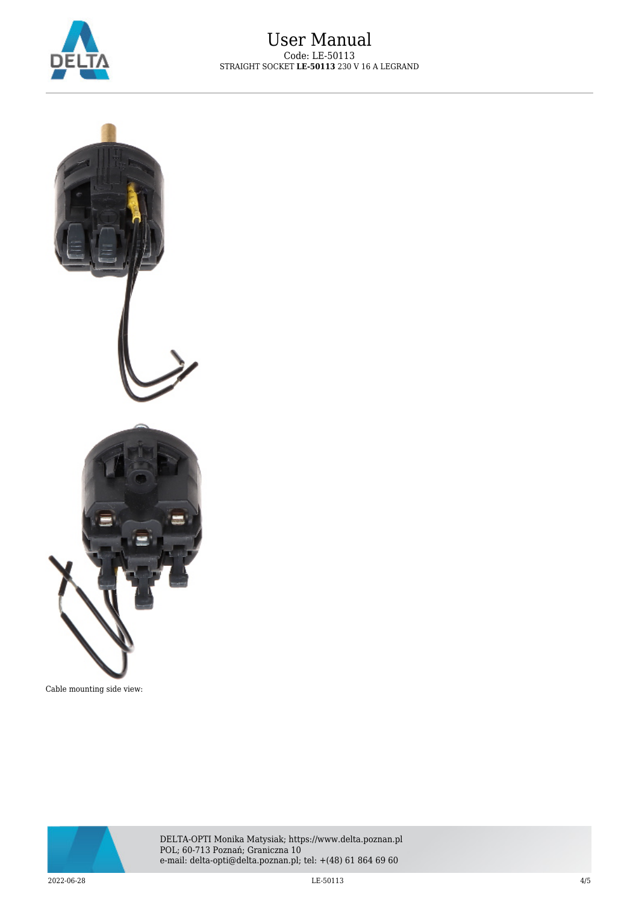



Cable mounting side view: